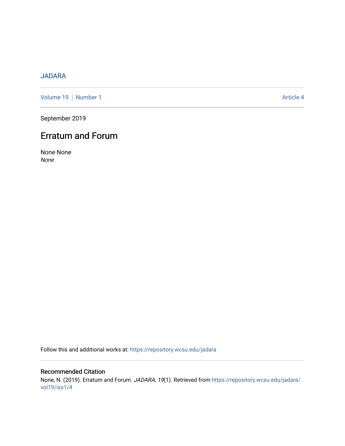### [JADARA](https://repository.wcsu.edu/jadara)

[Volume 19](https://repository.wcsu.edu/jadara/vol19) | [Number 1](https://repository.wcsu.edu/jadara/vol19/iss1) Article 4

September 2019

## Erratum and Forum

None None None

Follow this and additional works at: [https://repository.wcsu.edu/jadara](https://repository.wcsu.edu/jadara?utm_source=repository.wcsu.edu%2Fjadara%2Fvol19%2Fiss1%2F4&utm_medium=PDF&utm_campaign=PDFCoverPages)

#### Recommended Citation None, N. (2019). Erratum and Forum. JADARA, 19(1). Retrieved from [https://repository.wcsu.edu/jadara/](https://repository.wcsu.edu/jadara/vol19/iss1/4?utm_source=repository.wcsu.edu%2Fjadara%2Fvol19%2Fiss1%2F4&utm_medium=PDF&utm_campaign=PDFCoverPages) [vol19/iss1/4](https://repository.wcsu.edu/jadara/vol19/iss1/4?utm_source=repository.wcsu.edu%2Fjadara%2Fvol19%2Fiss1%2F4&utm_medium=PDF&utm_campaign=PDFCoverPages)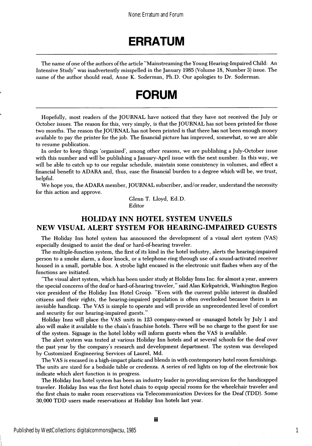# ERRATUM

The name of one of the authors of the article "Mainstreaming the Young Hearing-Impaired Child: An Intensive Study" was inadvertently misspelled in the January 1985 (Volume 18, Number 3) issue. The name of the author should read, Anne K. Soderman, Ph.D. Our apologies to Dr. Soderman.

# FORUM

Hopefully, most readers of the JOURNAL have noticed that they have not received the July or October issues. The reason for this, very simply, is that the JOURNAL has not been printed for those two months. The reason the JOURNAL has not been printed is that there has not been enough money available to pay the printer for the job. The financial picture has improved, somewhat, so we are able to resume publication.

In order to keep things 'organized', among other reasons, we are publishing a July-October issue with this number and will be publishing a January-April issue with the next number. In this way, we will be able to catch up to our regular schedule, maintain some consistency in volumes, and effect a financial benefit to ADARA and, thus, ease the financial burden to a degree which will be, we trust, helpful.

We hope you, the ADARA member, JOURNAL subscriber, and/or reader, understand the necessity for this action and approve.

> Glenn T. Lloyd, Ed.D. Editor

#### HOLIDAY INN HOTEL SYSTEM UNVEILS NEW VISUAL ALERT SYSTEM FOR HEARING-IMPAIRED GUESTS

The Holiday Inn hotel system has announced the development of a visual alert system (VAS) especially designed to assist the deaf or hard-of-hearing traveler.

The multiple-function system, the first of its kind in the hotel industry, alerts the hearing-impaired person to a smoke alarm, a door knock, or a telephone ring through use of a sound-activated receiver housed in a small, portable box. A strobe light encased in the electronic unit flashes when any of the functions are initiated.

"The visual alert system, which has been under study at Holiday Inns Inc. for almost a year, answers the special concerns of the deaf or hard-of-hearing traveler," said Alan Kirkpatrick, Washington Region vice president of the Holiday Inn Hotel Group. "Even with the current public interest in disabled citizens and their rights, the hearing-impaired population is often overlooked because theirs is an invisible handicap. The VAS is simple to operate and will provide an unprecedented level of comfort and security for our hearing-impaired guests."

Holiday Inns will place the VAS units in 123 company-owned or -managed hotels by July 1 and also will make it available to the chain's franchise hotels. There will be no charge to the guest for use of the system. Signage in the hotel lobby will inform guests when the VAS is available.

The alert system was tested at various Holiday Inn hotels and at several schools for the deaf over the past year by the company's research and development department. The system was developed by Gustomized Engineering Services of Laurel, Md.

The VAS is encased in a high-impact plastic and blends in with contemporary hotel room furnishings. The units are sized for a bedside table or credenza. A series of red lights on top of the electronic box indicate which alert function is in progress.

The Holiday Inn hotel system has been an industry leader in providing services for the handicapped traveler. Holiday Inn was the first hotel chain to equip special rooms for the wheelchair traveler and the first chain to make room reservations via Telecommunication Devices for the Deaf (TDD). Some 30,000 TDD users made reservations at Holiday Inn hotels last year.

1